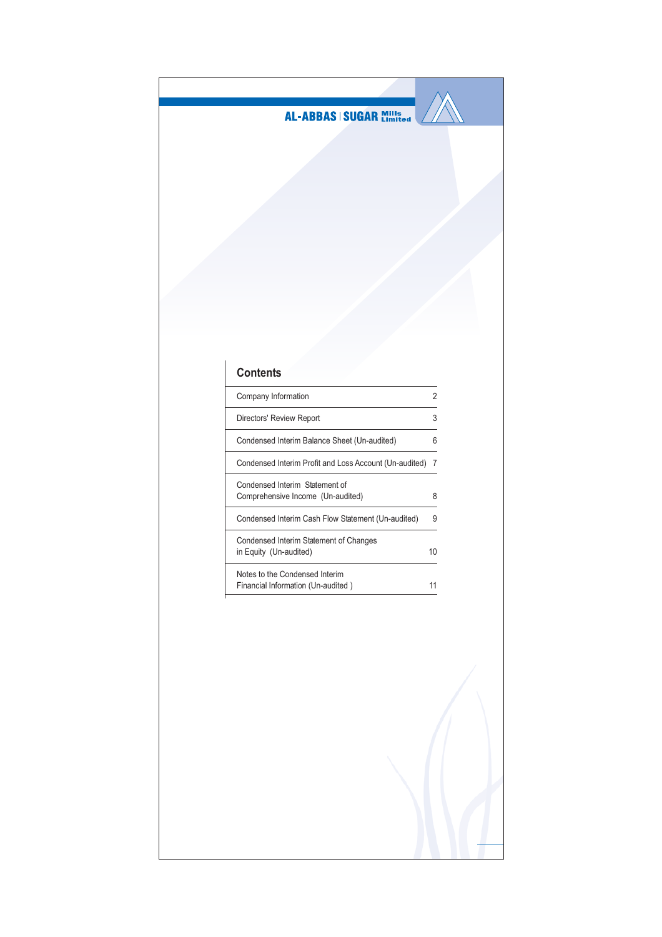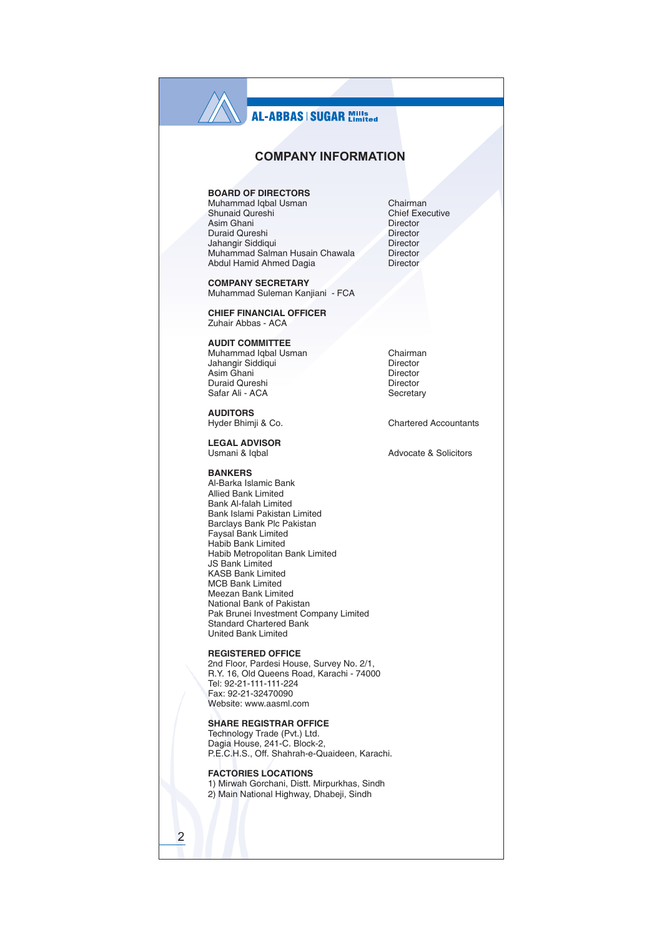# **COMPANY INFORMATION**

## **BOARD OF DIRECTORS**

Muhammad Iqbal Usman Shunaid Qureshi Asim Ghani Duraid Qureshi Jahangir Siddigui Muhammad Salman Husain Chawala Abdul Hamid Ahmed Dagia

**COMPANY SECRETARY** Muhammad Suleman Kanjiani - FCA

**CHIEF FINANCIAL OFFICER** Zuhair Abbas - ACA

**AUDIT COMMITTEE** Muhammad Iqbal Usman

Jahangir Siddiqui Asim Ghani Duraid Qureshi Safar Ali - ACA

**AUDITORS** Hyder Bhimji & Co.

**LEGAL ADVISOR** Usmani & Igbal

**RANKERS** 

Al-Barka Islamic Bank Allied Bank Limited Bank Al-falah Limited Bank Islami Pakistan Limited Barclays Bank Plc Pakistan Faysal Bank Limited Habib Bank Limited Habib Metropolitan Bank Limited **JS Bank Limited KASB Bank Limited MCB Bank Limited** Meezan Bank Limited National Bank of Pakistan Pak Brunei Investment Company Limited **Standard Chartered Bank United Bank Limited** 

**REGISTERED OFFICE** 

2nd Floor. Pardesi House, Survey No. 2/1, R.Y. 16, Old Queens Road, Karachi - 74000 Tel: 92-21-111-111-224 Fax: 92-21-32470090 Website: www.aasml.com

### **SHARE REGISTRAR OFFICE**

Technology Trade (Pvt.) Ltd.<br>Dagia House, 241-C. Block-2, P.E.C.H.S., Off. Shahrah-e-Quaideen. Karachi.

**FACTORIES LOCATIONS** 

1) Mirwah Gorchani, Distt. Mirpurkhas, Sindh 2) Main National Highway, Dhabeji, Sindh

Chairman Chief Executive **Director** Director Director Director **Director** 

Chairman Director Director Director Secretary

**Chartered Accountants** 

Advocate & Solicitors

 $\overline{2}$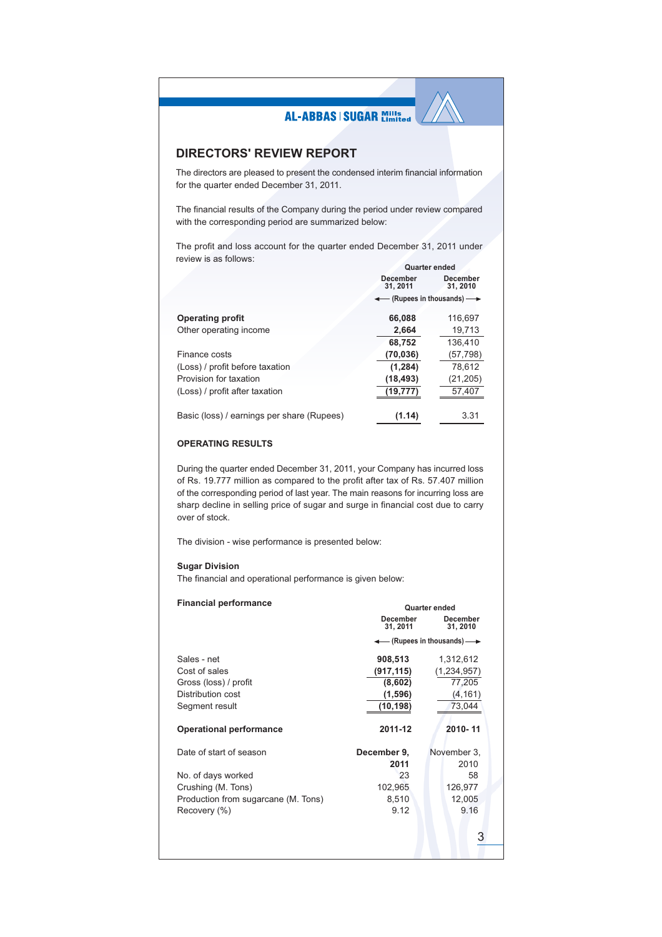# **DIRECTORS' REVIEW REPORT**

The directors are pleased to present the condensed interim financial information for the quarter ended December 31, 2011.

The financial results of the Company during the period under review compared with the corresponding period are summarized below:

The profit and loss account for the quarter ended December 31, 2011 under review is as follows:  $O(1)$ 

|                                            | Quarter engeg                                    |                             |  |
|--------------------------------------------|--------------------------------------------------|-----------------------------|--|
|                                            | <b>December</b><br>31, 2011                      | <b>December</b><br>31, 2010 |  |
|                                            | $\leftarrow$ (Rupees in thousands) $\rightarrow$ |                             |  |
| <b>Operating profit</b>                    | 66.088                                           | 116.697                     |  |
| Other operating income                     | 2.664                                            | 19,713                      |  |
|                                            | 68,752                                           | 136.410                     |  |
| Finance costs                              | (70, 036)                                        | (57, 798)                   |  |
| (Loss) / profit before taxation            | (1, 284)                                         | 78,612                      |  |
| Provision for taxation                     | (18, 493)                                        | (21, 205)                   |  |
| (Loss) / profit after taxation             | (19, 777)                                        | 57,407                      |  |
| Basic (loss) / earnings per share (Rupees) | (1.14)                                           | 3.31                        |  |

### **OPERATING RESULTS**

During the quarter ended December 31, 2011, your Company has incurred loss of Rs. 19.777 million as compared to the profit after tax of Rs. 57.407 million of the corresponding period of last year. The main reasons for incurring loss are sharp decline in selling price of sugar and surge in financial cost due to carry over of stock.

The division - wise performance is presented below:

### **Sugar Division**

The financial and operational performance is given below:

| <b>Financial performance</b>        | Quarter ended               |                                                  |  |  |
|-------------------------------------|-----------------------------|--------------------------------------------------|--|--|
|                                     | <b>December</b><br>31, 2011 | <b>December</b><br>31, 2010                      |  |  |
|                                     |                             | $\leftarrow$ (Rupees in thousands) $\rightarrow$ |  |  |
| Sales - net                         | 908,513                     | 1,312,612                                        |  |  |
| Cost of sales                       | (917,115)                   | (1, 234, 957)                                    |  |  |
| Gross (loss) / profit               | (8,602)                     | 77,205                                           |  |  |
| Distribution cost                   | (1,596)                     | (4, 161)                                         |  |  |
| Segment result                      | (10,198)                    | 73,044                                           |  |  |
|                                     |                             |                                                  |  |  |
| <b>Operational performance</b>      | 2011-12                     | 2010-11                                          |  |  |
| Date of start of season             | December 9,                 | November 3,                                      |  |  |
|                                     | 2011                        | 2010                                             |  |  |
| No. of days worked                  | 23                          | 58                                               |  |  |
| Crushing (M. Tons)                  | 102,965                     | 126,977                                          |  |  |
|                                     | 8,510                       | 12,005                                           |  |  |
| Production from sugarcane (M. Tons) | 9.12                        | 9.16                                             |  |  |
| Recovery (%)                        |                             |                                                  |  |  |
|                                     |                             |                                                  |  |  |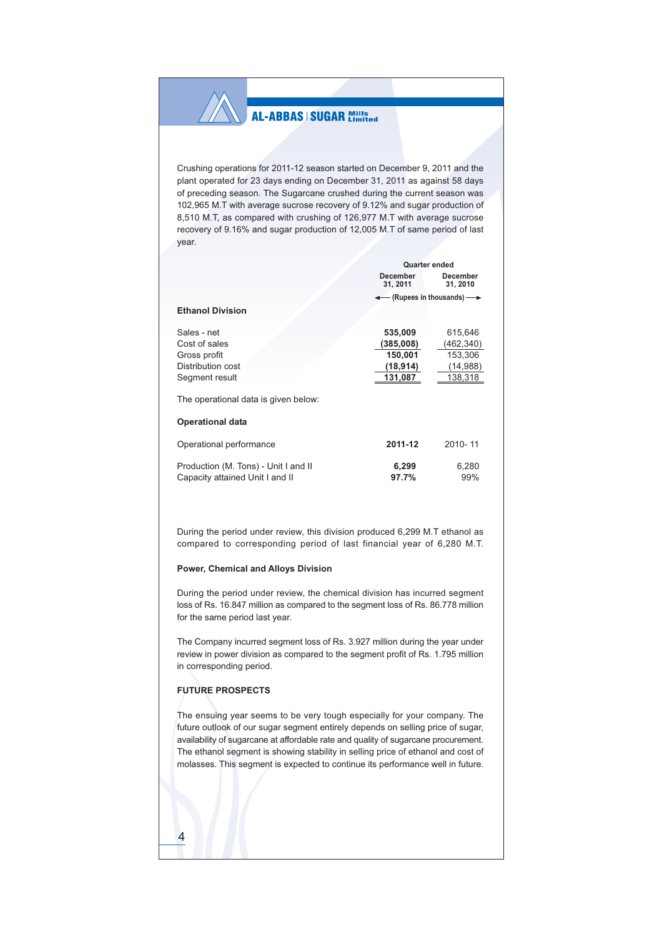Crushing operations for 2011-12 season started on December 9, 2011 and the plant operated for 23 days ending on December 31, 2011 as against 58 days of preceding season. The Sugarcane crushed during the current season was 102,965 M.T with average sucrose recovery of 9.12% and sugar production of 8,510 M.T, as compared with crushing of 126,977 M.T with average sucrose recovery of 9.16% and sugar production of 12,005 M.T of same period of last year.

|                                      | <b>Quarter ended</b>        |                                             |  |
|--------------------------------------|-----------------------------|---------------------------------------------|--|
|                                      | <b>December</b><br>31, 2011 | <b>December</b><br>31, 2010                 |  |
|                                      |                             | $-$ (Rupees in thousands) $\longrightarrow$ |  |
| <b>Ethanol Division</b>              |                             |                                             |  |
| Sales - net                          | 535,009                     | 615,646                                     |  |
| Cost of sales                        | (385,008)                   | (462, 340)                                  |  |
| Gross profit                         | 150,001                     | 153,306                                     |  |
| Distribution cost                    | (18,914)                    | (14, 988)                                   |  |
| Segment result                       | 131,087                     | 138,318                                     |  |
| The operational data is given below: |                             |                                             |  |
| <b>Operational data</b>              |                             |                                             |  |
| Operational performance              | 2011-12                     | 2010-11                                     |  |
| Production (M. Tons) - Unit I and II | 6,299                       | 6,280                                       |  |
| Capacity attained Unit I and II      | 97.7%                       | 99%                                         |  |

During the period under review, this division produced 6,299 M.T ethanol as compared to corresponding period of last financial year of 6,280 M.T.

### Power, Chemical and Alloys Division

During the period under review, the chemical division has incurred segment loss of Rs. 16.847 million as compared to the segment loss of Rs. 86.778 million for the same period last year.

The Company incurred segment loss of Rs. 3.927 million during the year under review in power division as compared to the segment profit of Rs. 1.795 million in corresponding period.

## **FUTURE PROSPECTS**

 $\overline{4}$ 

The ensuing year seems to be very tough especially for your company. The future outlook of our sugar segment entirely depends on selling price of sugar, availability of sugarcane at affordable rate and quality of sugarcane procurement. The ethanol segment is showing stability in selling price of ethanol and cost of molasses. This segment is expected to continue its performance well in future.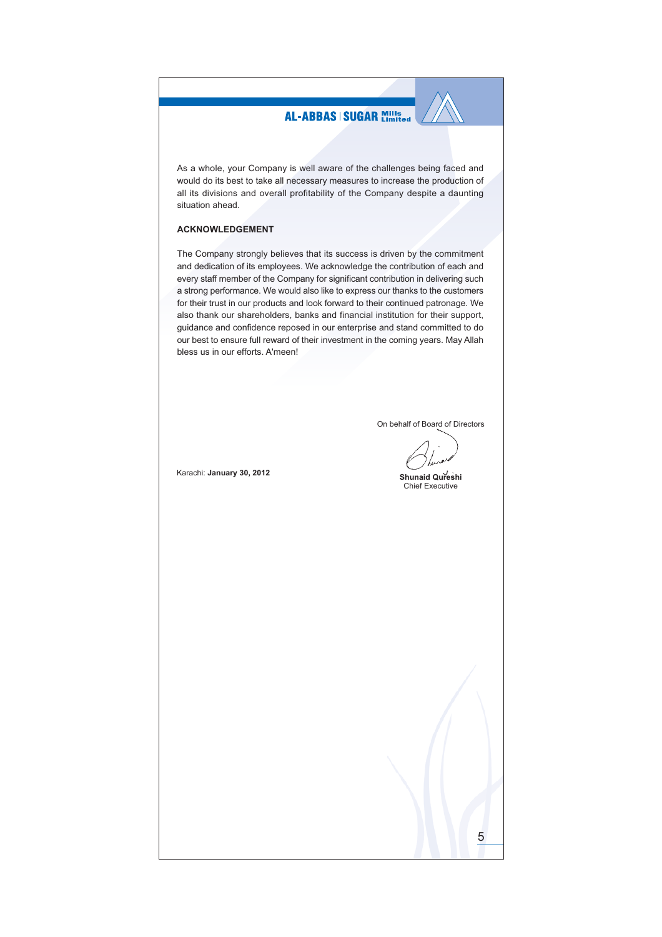As a whole, your Company is well aware of the challenges being faced and would do its best to take all necessary measures to increase the production of all its divisions and overall profitability of the Company despite a daunting situation ahead.

### **ACKNOWLEDGEMENT**

The Company strongly believes that its success is driven by the commitment and dedication of its employees. We acknowledge the contribution of each and every staff member of the Company for significant contribution in delivering such a strong performance. We would also like to express our thanks to the customers for their trust in our products and look forward to their continued patronage. We also thank our shareholders, banks and financial institution for their support, guidance and confidence reposed in our enterprise and stand committed to do our best to ensure full reward of their investment in the coming years. May Allah bless us in our efforts. A'meen!

On behalf of Board of Directors

Shunaid Qureshi **Chief Executive** 

5

Karachi: January 30, 2012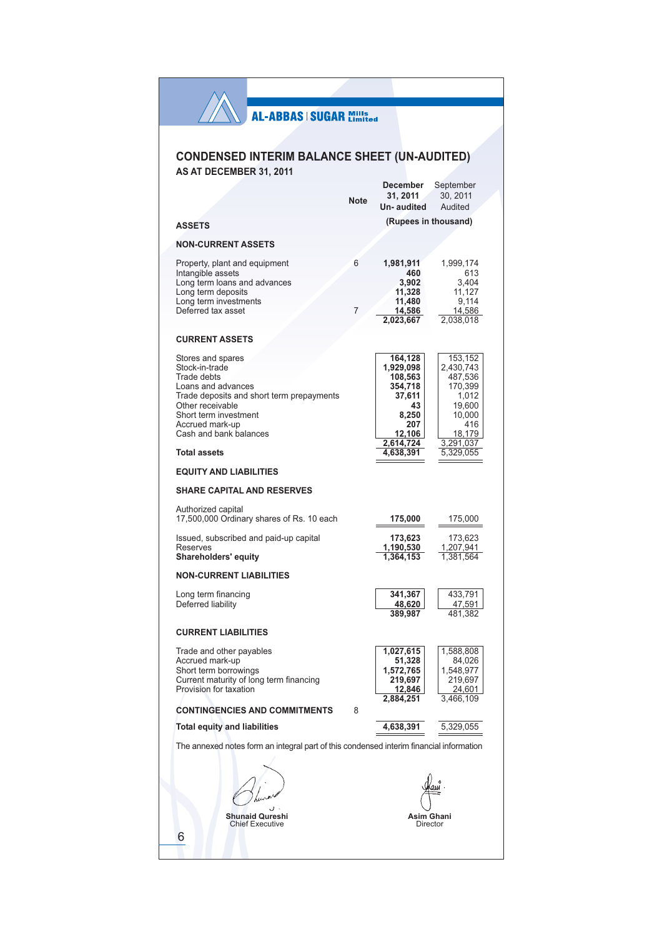Χ

# **CONDENSED INTERIM BALANCE SHEET (UN-AUDITED)** AS AT DECEMBER 31, 2011

**Desember** 

 $C$ <sub>antam</sub><sub>bar</sub>

|                                                                                                                                                                                                                 |             | necemper                                                                                          | oehremper                                                                                             |
|-----------------------------------------------------------------------------------------------------------------------------------------------------------------------------------------------------------------|-------------|---------------------------------------------------------------------------------------------------|-------------------------------------------------------------------------------------------------------|
|                                                                                                                                                                                                                 | <b>Note</b> | 31, 2011                                                                                          | 30, 2011                                                                                              |
|                                                                                                                                                                                                                 |             | Un-audited                                                                                        | Audited                                                                                               |
| <b>ASSETS</b>                                                                                                                                                                                                   |             | (Rupees in thousand)                                                                              |                                                                                                       |
| <b>NON-CURRENT ASSETS</b>                                                                                                                                                                                       |             |                                                                                                   |                                                                                                       |
| Property, plant and equipment<br>Intangible assets<br>Long term loans and advances<br>Long term deposits<br>Long term investments<br>Deferred tax asset                                                         | 6<br>7      | 1,981,911<br>460<br>3,902<br>11,328<br>11,480<br>14,586<br>2,023,667                              | 1,999,174<br>613<br>3,404<br>11,127<br>9,114<br>14,586<br>2,038,018                                   |
| <b>CURRENT ASSETS</b>                                                                                                                                                                                           |             |                                                                                                   |                                                                                                       |
| Stores and spares<br>Stock-in-trade<br>Trade debts<br>Loans and advances<br>Trade deposits and short term prepayments<br>Other receivable<br>Short term investment<br>Accrued mark-up<br>Cash and bank balances |             | 164,128<br>1,929,098<br>108,563<br>354,718<br>37,611<br>43<br>8,250<br>207<br>12,106<br>2,614,724 | 153,152<br>2,430,743<br>487,536<br>170,399<br>1,012<br>19,600<br>10,000<br>416<br>18,179<br>3,291,037 |
| <b>Total assets</b><br><b>EQUITY AND LIABILITIES</b>                                                                                                                                                            |             | 4,638,391                                                                                         | 5.329.055                                                                                             |
| <b>SHARE CAPITAL AND RESERVES</b>                                                                                                                                                                               |             |                                                                                                   |                                                                                                       |
| Authorized capital<br>17,500,000 Ordinary shares of Rs. 10 each<br>Issued, subscribed and paid-up capital<br>Reserves<br><b>Shareholders' equity</b>                                                            |             | 175,000<br>173,623<br>1,190,530<br>1,364,153                                                      | 175,000<br>173,623<br>1,207,941<br>1,381,564                                                          |
| <b>NON-CURRENT LIABILITIES</b>                                                                                                                                                                                  |             |                                                                                                   |                                                                                                       |
| Long term financing<br>Deferred liability                                                                                                                                                                       |             | 341,367<br>48,620<br>389,987                                                                      | 433,791<br>47,591<br>481,382                                                                          |
| <b>CURRENT LIABILITIES</b>                                                                                                                                                                                      |             |                                                                                                   |                                                                                                       |
| Trade and other payables<br>Accrued mark-up<br>Short term borrowings<br>Current maturity of long term financing<br>Provision for taxation                                                                       |             | 1,027,615<br>51,328<br>1,572,765<br>219,697<br><u>12,846</u><br>2,884,251                         | 1,588,808<br>84,026<br>1,548,977<br>219,697<br>24,601<br>3,466,109                                    |
| <b>CONTINGENCIES AND COMMITMENTS</b>                                                                                                                                                                            | 8           |                                                                                                   |                                                                                                       |
| <b>Total equity and liabilities</b>                                                                                                                                                                             |             | 4,638,391                                                                                         | 5,329,055                                                                                             |
| The annexed notes form an integral part of this condensed interim financial information                                                                                                                         |             |                                                                                                   |                                                                                                       |
| <b>Shunaid Qureshi</b><br><b>Chief Executive</b><br>6                                                                                                                                                           |             | Asim Ghani<br>Director                                                                            |                                                                                                       |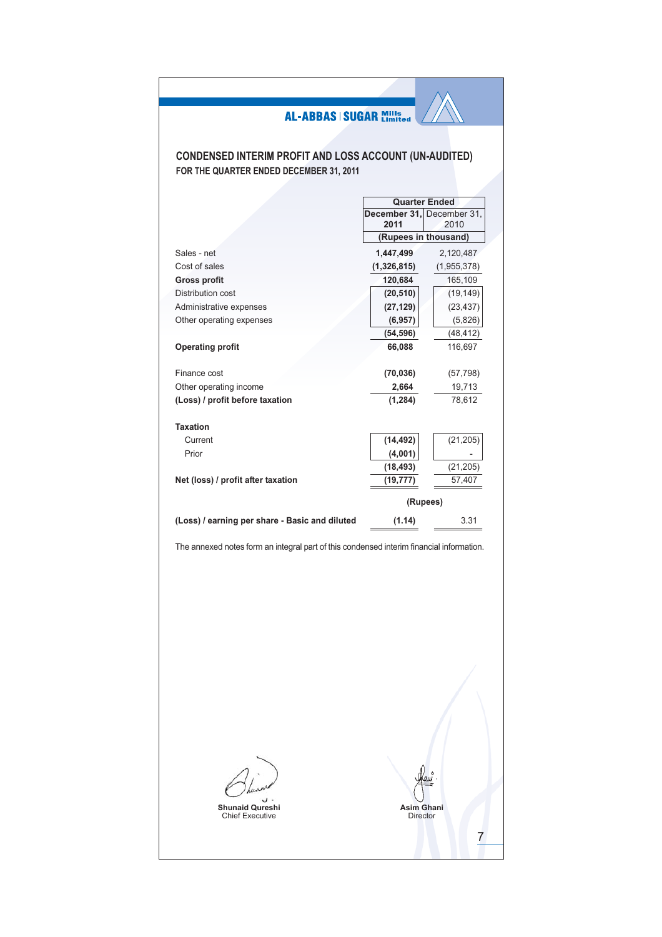# **CONDENSED INTERIM PROFIT AND LOSS ACCOUNT (UN-AUDITED)** FOR THE QUARTER ENDED DECEMBER 31, 2011

|                                                | <b>Quarter Ended</b>      |             |  |
|------------------------------------------------|---------------------------|-------------|--|
|                                                | December 31, December 31, |             |  |
|                                                | 2011                      | 2010        |  |
|                                                | (Rupees in thousand)      |             |  |
| Sales - net                                    | 1,447,499                 | 2,120,487   |  |
| Cost of sales                                  | (1,326,815)               | (1,955,378) |  |
| <b>Gross profit</b>                            | 120,684                   | 165,109     |  |
| Distribution cost                              | (20, 510)                 | (19, 149)   |  |
| Administrative expenses                        | (27, 129)                 | (23, 437)   |  |
| Other operating expenses                       | (6, 957)                  | (5,826)     |  |
|                                                | (54, 596)                 | (48, 412)   |  |
| <b>Operating profit</b>                        | 66,088                    | 116,697     |  |
|                                                |                           |             |  |
| Finance cost                                   | (70, 036)                 | (57, 798)   |  |
| Other operating income                         | 2,664                     | 19,713      |  |
| (Loss) / profit before taxation                | (1, 284)                  | 78,612      |  |
|                                                |                           |             |  |
| <b>Taxation</b>                                |                           |             |  |
| Current                                        | (14, 492)                 | (21, 205)   |  |
| Prior                                          | (4,001)                   |             |  |
|                                                | (18, 493)                 | (21, 205)   |  |
| Net (loss) / profit after taxation             | (19, 777)                 | 57,407      |  |
|                                                |                           |             |  |
|                                                |                           | (Rupees)    |  |
| (Loss) / earning per share - Basic and diluted | (1.14)                    | 3.31        |  |

The annexed notes form an integral part of this condensed interim financial information.



**Shunaid Qureshi**<br>Chief Executive

Asim Ghani<br>Director

 $\overline{7}$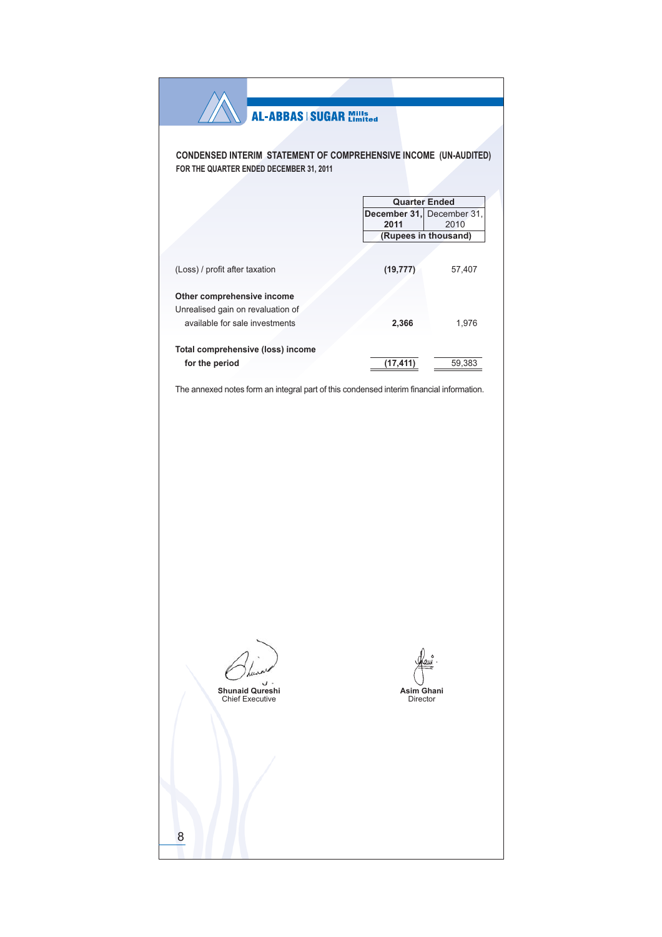| <b>AL-ABBAS   SUGAR Mills</b>                                                                               |                                                                                   |        |
|-------------------------------------------------------------------------------------------------------------|-----------------------------------------------------------------------------------|--------|
| CONDENSED INTERIM STATEMENT OF COMPREHENSIVE INCOME (UN-AUDITED)<br>FOR THE QUARTER ENDED DECEMBER 31, 2011 |                                                                                   |        |
|                                                                                                             | <b>Quarter Ended</b><br>December 31, December 31,<br>2011<br>(Rupees in thousand) | 2010   |
| (Loss) / profit after taxation                                                                              | (19, 777)                                                                         | 57,407 |
| Other comprehensive income<br>Unrealised gain on revaluation of<br>available for sale investments           | 2,366                                                                             | 1,976  |
| Total comprehensive (loss) income<br>for the period                                                         | (17, 411)                                                                         | 59,383 |
| The annexed notes form an integral part of this condensed interim financial information.                    |                                                                                   |        |
| <b>Shunaid Qureshi</b><br><b>Chief Executive</b>                                                            | Asim Ghani<br><b>Director</b>                                                     |        |
| 8                                                                                                           |                                                                                   |        |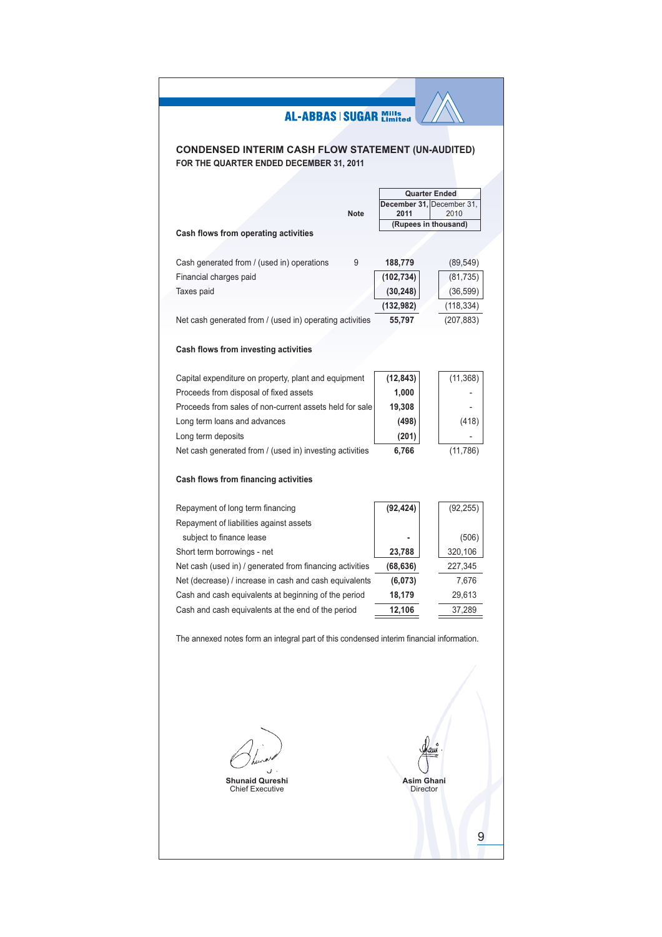# **CONDENSED INTERIM CASH FLOW STATEMENT (UN-AUDITED)** FOR THE QUARTER ENDED DECEMBER 31, 2011

|                                                                                          |             |                   | <b>Quarter Ended</b>      |
|------------------------------------------------------------------------------------------|-------------|-------------------|---------------------------|
|                                                                                          |             |                   | December 31, December 31, |
|                                                                                          | <b>Note</b> | 2011              | 2010                      |
| Cash flows from operating activities                                                     |             |                   | (Rupees in thousand)      |
|                                                                                          |             |                   |                           |
| Cash generated from / (used in) operations                                               | 9           | 188,779           | (89, 549)                 |
| Financial charges paid                                                                   |             | (102, 734)        | (81, 735)                 |
| Taxes paid                                                                               |             | (30, 248)         | (36, 599)                 |
|                                                                                          |             | (132, 982)        | (118,334)                 |
| Net cash generated from / (used in) operating activities                                 |             | 55,797            | (207, 883)                |
|                                                                                          |             |                   |                           |
| Cash flows from investing activities                                                     |             |                   |                           |
| Capital expenditure on property, plant and equipment                                     |             | (12, 843)         | (11, 368)                 |
| Proceeds from disposal of fixed assets                                                   |             | 1,000             |                           |
| Proceeds from sales of non-current assets held for sale                                  |             | 19,308            |                           |
| Long term loans and advances                                                             |             | (498)             | (418)                     |
| Long term deposits                                                                       |             | (201)             |                           |
| Net cash generated from / (used in) investing activities                                 |             | 6,766             | (11, 786)                 |
|                                                                                          |             |                   |                           |
| Cash flows from financing activities                                                     |             |                   |                           |
| Repayment of long term financing                                                         |             | (92, 424)         | (92, 255)                 |
| Repayment of liabilities against assets                                                  |             |                   |                           |
| subject to finance lease                                                                 |             |                   | (506)                     |
| Short term borrowings - net                                                              |             | 23,788            | 320,106                   |
| Net cash (used in) / generated from financing activities                                 |             | (68, 636)         | 227,345                   |
| Net (decrease) / increase in cash and cash equivalents                                   |             | (6,073)           | 7,676                     |
| Cash and cash equivalents at beginning of the period                                     |             | 18,179            | 29,613                    |
| Cash and cash equivalents at the end of the period                                       |             | 12,106            | 37,289                    |
| The annexed notes form an integral part of this condensed interim financial information. |             |                   |                           |
|                                                                                          |             |                   |                           |
|                                                                                          |             |                   |                           |
|                                                                                          |             |                   |                           |
|                                                                                          |             |                   |                           |
|                                                                                          |             |                   |                           |
|                                                                                          |             |                   |                           |
| <b>Shunaid Qureshi</b>                                                                   |             | <b>Asim Ghani</b> |                           |
| <b>Chief Executive</b>                                                                   |             | <b>Director</b>   |                           |
|                                                                                          |             |                   |                           |
|                                                                                          |             |                   |                           |
|                                                                                          |             |                   |                           |
|                                                                                          |             |                   |                           |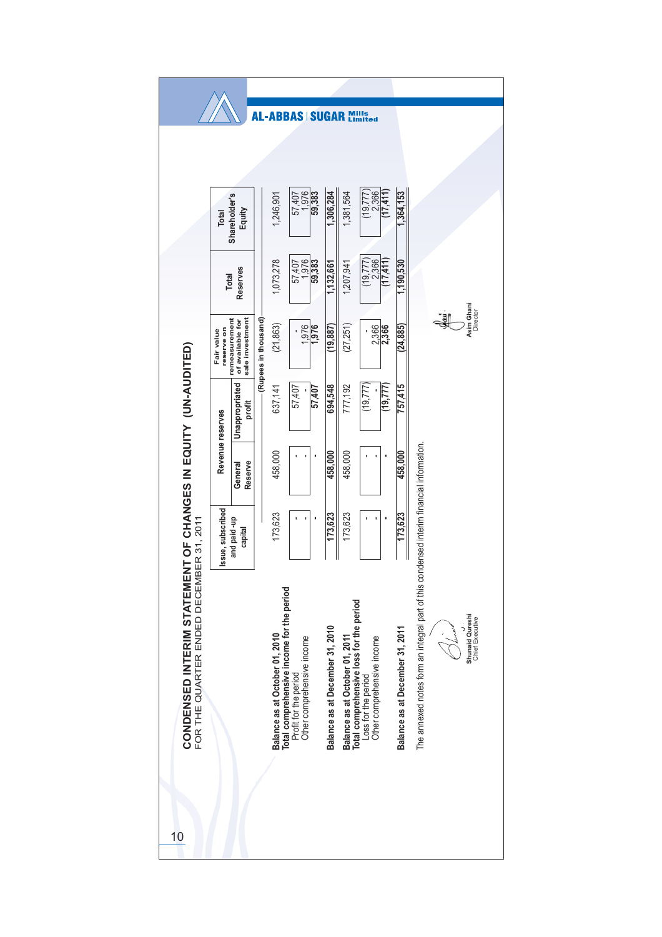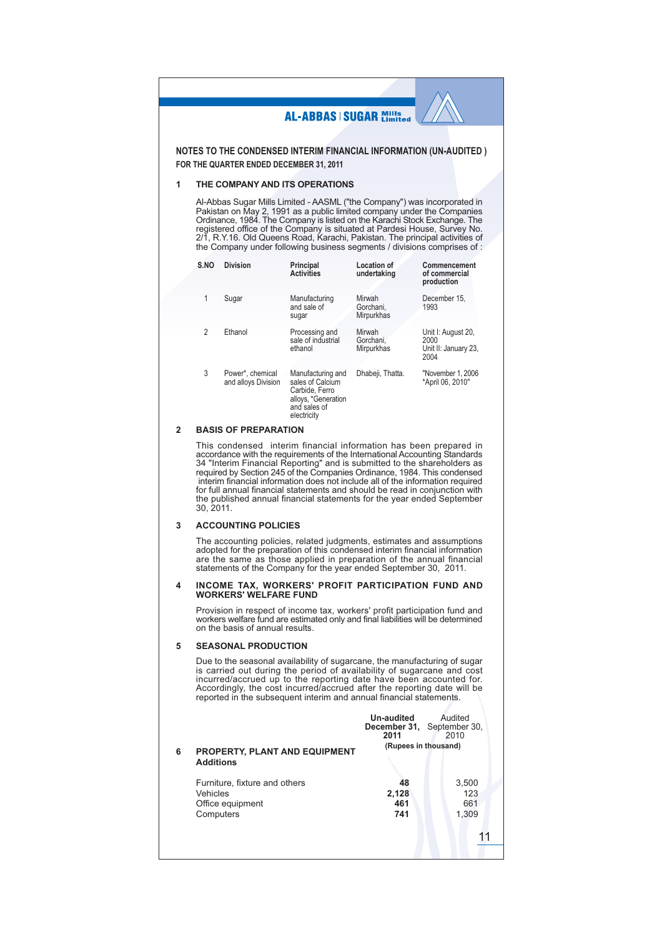NOTES TO THE CONDENSED INTERIM FINANCIAL INFORMATION (UN-AUDITED) FOR THE QUARTER ENDED DECEMBER 31, 2011

#### THE COMPANY AND ITS OPERATIONS 1

Al-Abbas Sugar Mills Limited - AASML ("the Company") was incorporated in Al-Abbas Sugar with Lineu - About Little Company J was incorporated in<br>Pakistan on May 2, 1991 as a public limited company under the Companies<br>Ordinance, 1984. The Company is listed on the Karachi Stock Exchange. The<br>regis the Company under following business segments / divisions comprises of :

| S.NO           | <b>Division</b>                         | Principal<br><b>Activities</b>                                                                                | Location of<br>undertaking        | Commencement<br>of commercial<br>production                |
|----------------|-----------------------------------------|---------------------------------------------------------------------------------------------------------------|-----------------------------------|------------------------------------------------------------|
| 1              | Sugar                                   | Manufacturing<br>and sale of<br>sugar                                                                         | Mirwah<br>Gorchani.<br>Mirpurkhas | December 15.<br>1993                                       |
| $\mathfrak{p}$ | Ethanol                                 | Processing and<br>sale of industrial<br>ethanol                                                               | Mirwah<br>Gorchani.<br>Mirpurkhas | Unit I: August 20,<br>2000<br>Unit II: January 23,<br>2004 |
| 3              | Power*, chemical<br>and alloys Division | Manufacturing and<br>sales of Calcium<br>Carbide, Ferro<br>alloys, *Generation<br>and sales of<br>electricity | Dhabeji, Thatta.                  | "November 1, 2006<br>*April 06, 2010"                      |

#### **BASIS OF PREPARATION**  $\overline{2}$

This condensed interim financial information has been prepared in Final conditions with the requirements of the International Accounting Standards<br>34 "Interim Financial Reporting" and is submitted to the shareholders as<br>required by Section 245 of the Companies Ordinance, 1984. This conde for full annual financial statements and should be read in conjunction with the published annual financial statements for the year ended September 30, 2011.

#### **ACCOUNTING POLICIES**  $\mathbf{3}$

The accounting policies, related judgments, estimates and assumptions adopted for the preparation of this condensed interim financial information are the same as those applied in preparation of the annual financial statements of the Company for the year ended September 30, 2011.

# INCOME TAX, WORKERS' PROFIT PARTICIPATION FUND AND<br>WORKERS' WELFARE FUND  $\boldsymbol{\Lambda}$

Provision in respect of income tax, workers' profit participation fund and workers welfare fund are estimated only and final liabilities will be determined on the basis of annual results.

#### 5 **SEASONAL PRODUCTION**

Due to the seasonal availability of sugarcane, the manufacturing of sugar<br>is carried out during the period of availability of sugarcane and cost incurred/accrued up to the reporting date have been accounted for. Accordingly, the cost incurred/accrued after the reporting date will be reported in the subsequent interim and annual financial statements.

|   |                                                          | Un-audited<br>2011   | Audited<br>December 31, September 30,<br>2010 |
|---|----------------------------------------------------------|----------------------|-----------------------------------------------|
| 6 | <b>PROPERTY, PLANT AND EQUIPMENT</b><br><b>Additions</b> | (Rupees in thousand) |                                               |
|   | Furniture, fixture and others                            | 48                   | 3,500                                         |
|   | Vehicles                                                 | 2,128                | 123                                           |
|   | Office equipment                                         | 461                  | 661                                           |
|   | Computers                                                | 741                  | 1,309                                         |
|   |                                                          |                      |                                               |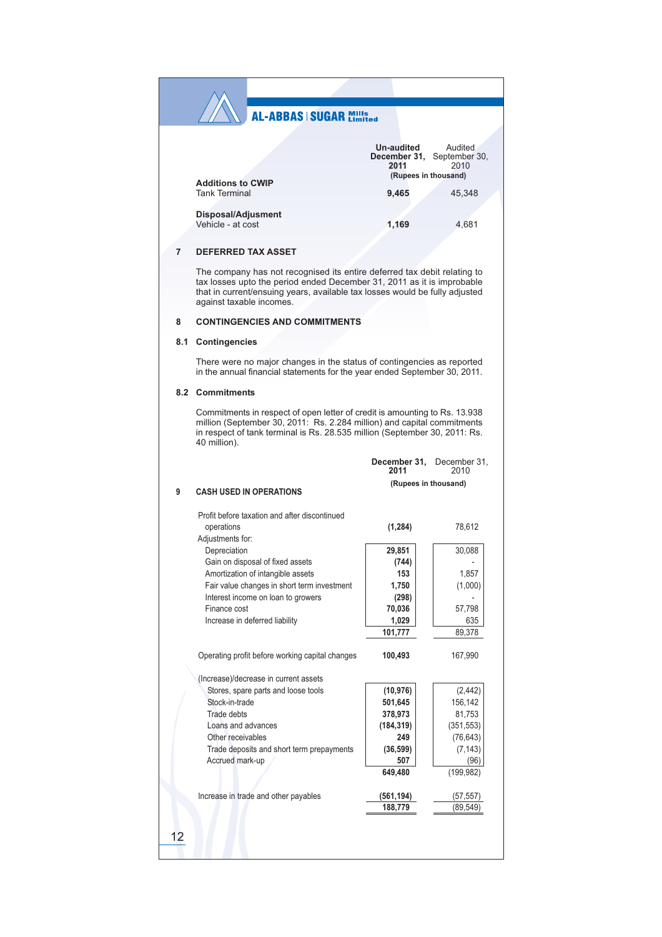|                          | Un-audited | Audited                    |
|--------------------------|------------|----------------------------|
|                          |            | December 31, September 30, |
|                          | 2011       | 2010                       |
| <b>Additions to CWIP</b> |            | (Rupees in thousand)       |
| <b>Tank Terminal</b>     | 9.465      | 45,348                     |
| Disposal/Adjusment       |            |                            |
| Vehicle - at cost        | 1,169      | 4,681                      |
|                          |            |                            |

#### **DEFERRED TAX ASSET**  $\overline{7}$

The company has not recognised its entire deferred tax debit relating to tax losses upto the period ended December 31, 2011 as it is improbable that in current/ensuing years, available tax losses would be fully adjusted against taxable incomes.

#### 8 **CONTINGENCIES AND COMMITMENTS**

#### 8.1 Contingencies

There were no major changes in the status of contingencies as reported in the annual financial statements for the year ended September 30, 2011.

#### 8.2 Commitments

Commitments in respect of open letter of credit is amounting to Rs. 13.938 million (September 30, 2011: Rs. 2.284 million) and capital commitments<br>in respect of tank terminal is Rs. 2.8.535 million (September 30, 2011: Rs. 40 million).

|   |                                                 | 2011                 | December 31, December 31,<br>2010 |
|---|-------------------------------------------------|----------------------|-----------------------------------|
| 9 | <b>CASH USED IN OPERATIONS</b>                  | (Rupees in thousand) |                                   |
|   | Profit before taxation and after discontinued   |                      |                                   |
|   | operations<br>Adjustments for:                  | (1, 284)             | 78.612                            |
|   | Depreciation                                    | 29,851               | 30,088                            |
|   | Gain on disposal of fixed assets                | (744)                |                                   |
|   | Amortization of intangible assets               | 153                  | 1,857                             |
|   | Fair value changes in short term investment     | 1,750                | (1,000)                           |
|   | Interest income on loan to growers              | (298)                |                                   |
|   | Finance cost                                    | 70,036               | 57,798                            |
|   | Increase in deferred liability                  | 1,029                | 635                               |
|   |                                                 | 101,777              | 89,378                            |
|   | Operating profit before working capital changes | 100,493              | 167,990                           |
|   | (Increase)/decrease in current assets           |                      |                                   |
|   | Stores, spare parts and loose tools             | (10, 976)            | (2, 442)                          |
|   | Stock-in-trade                                  | 501,645              | 156,142                           |
|   | Trade debts                                     | 378,973              | 81,753                            |
|   | Loans and advances                              | (184, 319)           | (351, 553)                        |
|   | Other receivables                               | 249                  | (76, 643)                         |
|   | Trade deposits and short term prepayments       | (36, 599)            | (7, 143)                          |
|   | Accrued mark-up                                 | 507                  | (96)                              |
|   |                                                 | 649,480              | (199, 982)                        |
|   | Increase in trade and other payables            | (561, 194)           | (57, 557)                         |
|   |                                                 | 188,779              | (89,549                           |
|   |                                                 |                      |                                   |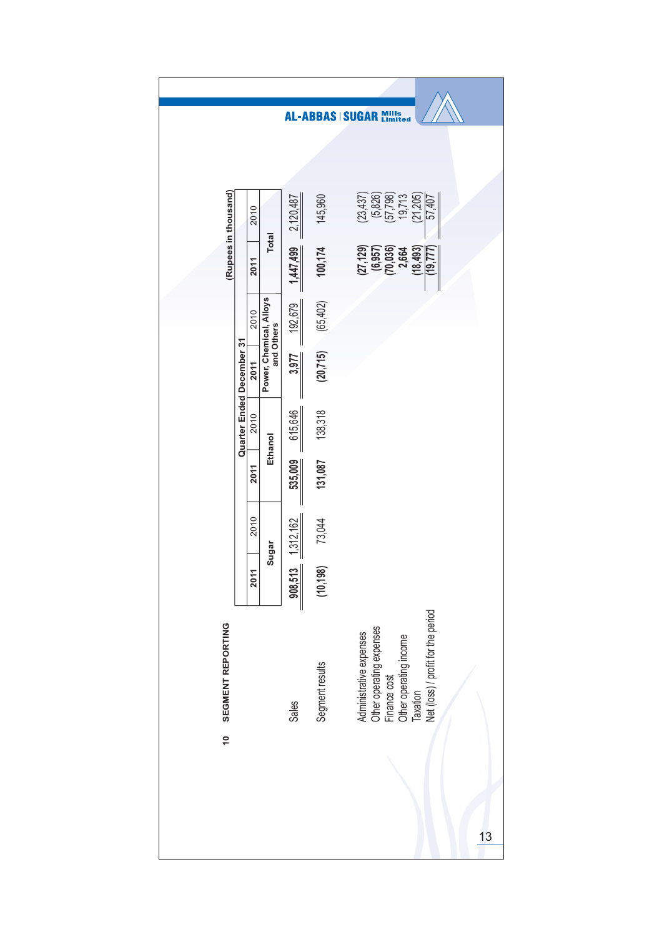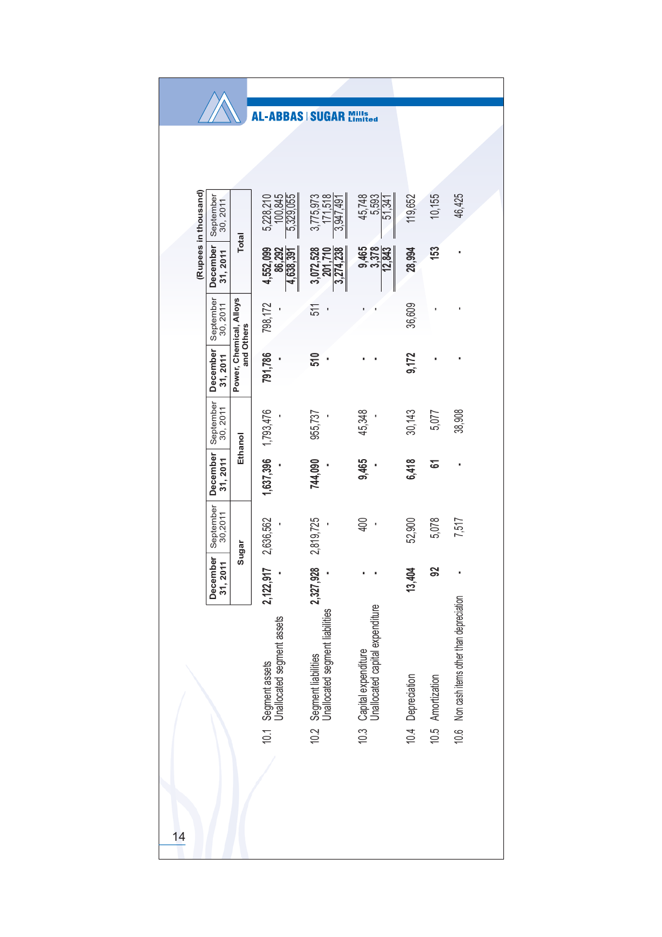|                      |                          |                         | <b>AL-ABBAS SUGAR</b>                             |                                                        | Mills<br>Limited                                            |                   |                   |                                        |
|----------------------|--------------------------|-------------------------|---------------------------------------------------|--------------------------------------------------------|-------------------------------------------------------------|-------------------|-------------------|----------------------------------------|
|                      |                          |                         |                                                   |                                                        |                                                             |                   |                   |                                        |
|                      |                          |                         |                                                   |                                                        |                                                             |                   |                   |                                        |
| (Rupees in thousand) | September<br>30, 2011    |                         | 100,845<br>5,329,055<br>5,228,210                 | 171.518<br>3,775,973<br>3,947,491                      | 45,748<br>5,593<br>51,341                                   | 119,652           | 10,155            | 46,425                                 |
|                      | December<br>31,2011      | <b>Total</b>            | 4,552,099<br>86,292<br>4,638,391                  | 3,072,528<br>3,274,238<br>201.710                      | 9,465<br>3,378<br>12,843                                    | 28,994            | 153               |                                        |
|                      | September<br>30, 2011    | Power, Chemical, Alloys | 798,172                                           | 511                                                    |                                                             | 36,609            |                   |                                        |
|                      | December<br>31, 2011     | and Others              | 791,786                                           | 510                                                    |                                                             | 9,172             |                   |                                        |
|                      | September<br>30, 2011    | Ethanol                 |                                                   | 955,737                                                | 45,348                                                      | 30,143            | 5,077             | 38,908                                 |
|                      | December<br>31, 2011     |                         | 1,637,396 1,793,476                               | 744,090                                                | 9,465                                                       | 6,418             | ৯                 |                                        |
|                      | September<br>30,2011     | Sugar                   | 2,636,562                                         | 2,819,725                                              | 400                                                         | 52,900            | 5,078             | 7,517                                  |
|                      | December<br>511<br>31, 2 |                         | 2,122,917                                         | 2,327,928                                              |                                                             | 13,404            | 8                 | ×                                      |
|                      |                          |                         | 10.1 Segment assets<br>Unallocated segment assets | Segment liabilities<br>Unallocated segment liabilities | 10.3 Capital expenditure<br>Unallocated capital expenditure | 10.4 Depreciation | 10.5 Amortization | Non cash items other than depreciation |
| $\overline{14}$      |                          |                         |                                                   | 10.2                                                   |                                                             |                   |                   | 10.6                                   |
|                      |                          |                         |                                                   |                                                        |                                                             |                   |                   |                                        |